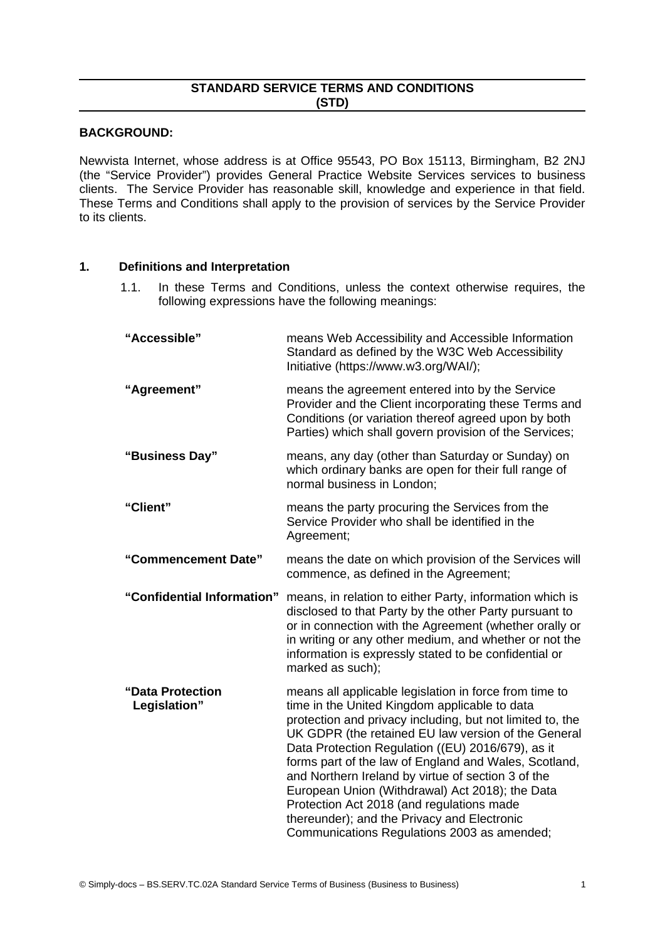## **STANDARD SERVICE TERMS AND CONDITIONS (STD)**

### **BACKGROUND:**

Newvista Internet, whose address is at Office 95543, PO Box 15113, Birmingham, B2 2NJ (the "Service Provider") provides General Practice Website Services services to business clients. The Service Provider has reasonable skill, knowledge and experience in that field. These Terms and Conditions shall apply to the provision of services by the Service Provider to its clients.

### **1. Definitions and Interpretation**

1.1. In these Terms and Conditions, unless the context otherwise requires, the following expressions have the following meanings:

| "Accessible"                     | means Web Accessibility and Accessible Information<br>Standard as defined by the W3C Web Accessibility<br>Initiative (https://www.w3.org/WAI/);                                                                                                                                                                                                                                                                                                                                                                                                                                               |  |
|----------------------------------|-----------------------------------------------------------------------------------------------------------------------------------------------------------------------------------------------------------------------------------------------------------------------------------------------------------------------------------------------------------------------------------------------------------------------------------------------------------------------------------------------------------------------------------------------------------------------------------------------|--|
| "Agreement"                      | means the agreement entered into by the Service<br>Provider and the Client incorporating these Terms and<br>Conditions (or variation thereof agreed upon by both<br>Parties) which shall govern provision of the Services;                                                                                                                                                                                                                                                                                                                                                                    |  |
| "Business Day"                   | means, any day (other than Saturday or Sunday) on<br>which ordinary banks are open for their full range of<br>normal business in London;                                                                                                                                                                                                                                                                                                                                                                                                                                                      |  |
| "Client"                         | means the party procuring the Services from the<br>Service Provider who shall be identified in the<br>Agreement;                                                                                                                                                                                                                                                                                                                                                                                                                                                                              |  |
| "Commencement Date"              | means the date on which provision of the Services will<br>commence, as defined in the Agreement;                                                                                                                                                                                                                                                                                                                                                                                                                                                                                              |  |
| "Confidential Information"       | means, in relation to either Party, information which is<br>disclosed to that Party by the other Party pursuant to<br>or in connection with the Agreement (whether orally or<br>in writing or any other medium, and whether or not the<br>information is expressly stated to be confidential or<br>marked as such);                                                                                                                                                                                                                                                                           |  |
| "Data Protection<br>Legislation" | means all applicable legislation in force from time to<br>time in the United Kingdom applicable to data<br>protection and privacy including, but not limited to, the<br>UK GDPR (the retained EU law version of the General<br>Data Protection Regulation ((EU) 2016/679), as it<br>forms part of the law of England and Wales, Scotland,<br>and Northern Ireland by virtue of section 3 of the<br>European Union (Withdrawal) Act 2018); the Data<br>Protection Act 2018 (and regulations made<br>thereunder); and the Privacy and Electronic<br>Communications Regulations 2003 as amended; |  |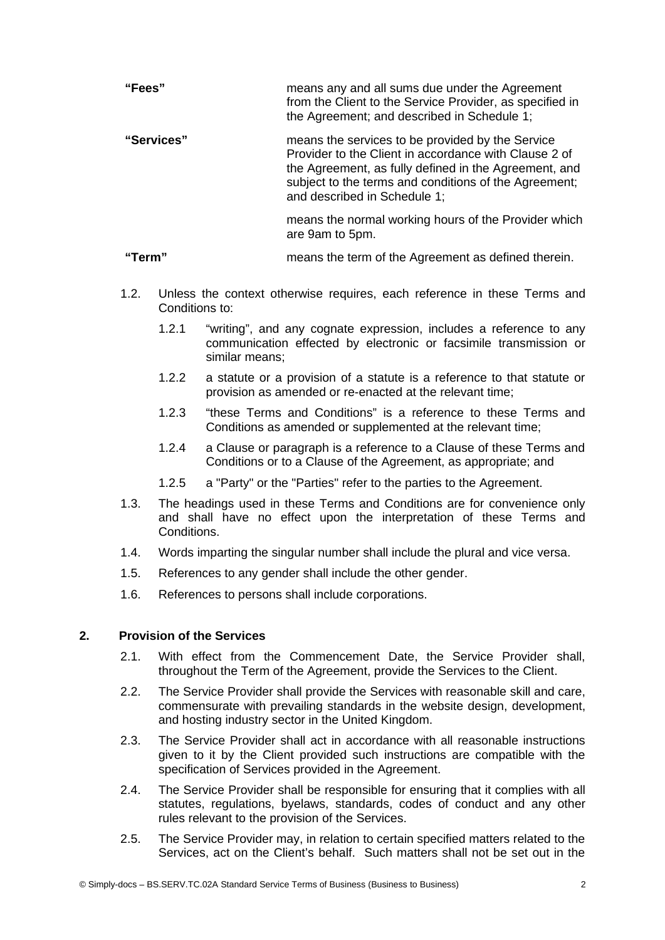| "Fees"     | means any and all sums due under the Agreement<br>from the Client to the Service Provider, as specified in<br>the Agreement; and described in Schedule 1;                                                                                                   |
|------------|-------------------------------------------------------------------------------------------------------------------------------------------------------------------------------------------------------------------------------------------------------------|
| "Services" | means the services to be provided by the Service<br>Provider to the Client in accordance with Clause 2 of<br>the Agreement, as fully defined in the Agreement, and<br>subject to the terms and conditions of the Agreement;<br>and described in Schedule 1; |
|            | means the normal working hours of the Provider which<br>are 9am to 5pm.                                                                                                                                                                                     |

**"Term"** means the term of the Agreement as defined therein.

- 1.2. Unless the context otherwise requires, each reference in these Terms and Conditions to:
	- 1.2.1 "writing", and any cognate expression, includes a reference to any communication effected by electronic or facsimile transmission or similar means;
	- 1.2.2 a statute or a provision of a statute is a reference to that statute or provision as amended or re-enacted at the relevant time;
	- 1.2.3 "these Terms and Conditions" is a reference to these Terms and Conditions as amended or supplemented at the relevant time;
	- 1.2.4 a Clause or paragraph is a reference to a Clause of these Terms and Conditions or to a Clause of the Agreement, as appropriate; and
	- 1.2.5 a "Party" or the "Parties" refer to the parties to the Agreement.
- 1.3. The headings used in these Terms and Conditions are for convenience only and shall have no effect upon the interpretation of these Terms and Conditions.
- 1.4. Words imparting the singular number shall include the plural and vice versa.
- 1.5. References to any gender shall include the other gender.
- 1.6. References to persons shall include corporations.

## **2. Provision of the Services**

- 2.1. With effect from the Commencement Date, the Service Provider shall, throughout the Term of the Agreement, provide the Services to the Client.
- 2.2. The Service Provider shall provide the Services with reasonable skill and care, commensurate with prevailing standards in the website design, development, and hosting industry sector in the United Kingdom.
- 2.3. The Service Provider shall act in accordance with all reasonable instructions given to it by the Client provided such instructions are compatible with the specification of Services provided in the Agreement.
- 2.4. The Service Provider shall be responsible for ensuring that it complies with all statutes, regulations, byelaws, standards, codes of conduct and any other rules relevant to the provision of the Services.
- 2.5. The Service Provider may, in relation to certain specified matters related to the Services, act on the Client's behalf. Such matters shall not be set out in the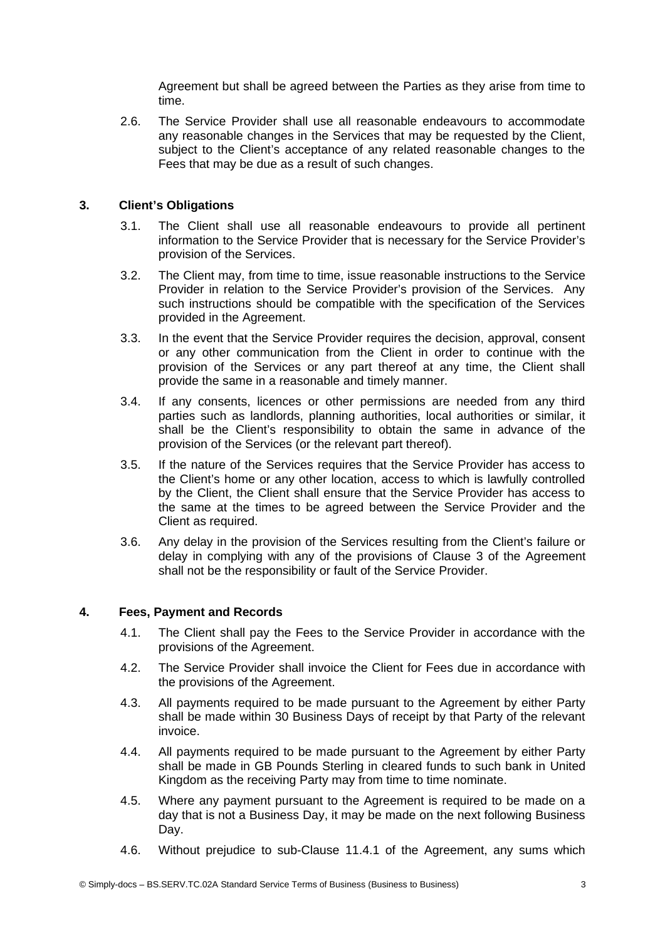Agreement but shall be agreed between the Parties as they arise from time to time.

2.6. The Service Provider shall use all reasonable endeavours to accommodate any reasonable changes in the Services that may be requested by the Client, subject to the Client's acceptance of any related reasonable changes to the Fees that may be due as a result of such changes.

## **3. Client's Obligations**

- <span id="page-2-0"></span>3.1. The Client shall use all reasonable endeavours to provide all pertinent information to the Service Provider that is necessary for the Service Provider's provision of the Services.
- 3.2. The Client may, from time to time, issue reasonable instructions to the Service Provider in relation to the Service Provider's provision of the Services. Any such instructions should be compatible with the specification of the Services provided in the Agreement.
- 3.3. In the event that the Service Provider requires the decision, approval, consent or any other communication from the Client in order to continue with the provision of the Services or any part thereof at any time, the Client shall provide the same in a reasonable and timely manner.
- 3.4. If any consents, licences or other permissions are needed from any third parties such as landlords, planning authorities, local authorities or similar, it shall be the Client's responsibility to obtain the same in advance of the provision of the Services (or the relevant part thereof).
- 3.5. If the nature of the Services requires that the Service Provider has access to the Client's home or any other location, access to which is lawfully controlled by the Client, the Client shall ensure that the Service Provider has access to the same at the times to be agreed between the Service Provider and the Client as required.
- 3.6. Any delay in the provision of the Services resulting from the Client's failure or delay in complying with any of the provisions of Clause [3](#page-2-0) of the Agreement shall not be the responsibility or fault of the Service Provider.

### **4. Fees, Payment and Records**

- 4.1. The Client shall pay the Fees to the Service Provider in accordance with the provisions of the Agreement.
- 4.2. The Service Provider shall invoice the Client for Fees due in accordance with the provisions of the Agreement.
- <span id="page-2-1"></span>4.3. All payments required to be made pursuant to the Agreement by either Party shall be made within 30 Business Days of receipt by that Party of the relevant invoice.
- 4.4. All payments required to be made pursuant to the Agreement by either Party shall be made in GB Pounds Sterling in cleared funds to such bank in United Kingdom as the receiving Party may from time to time nominate.
- 4.5. Where any payment pursuant to the Agreement is required to be made on a day that is not a Business Day, it may be made on the next following Business Day.
- 4.6. Without prejudice to sub-Clause [11.4.1](#page-7-0) of the Agreement, any sums which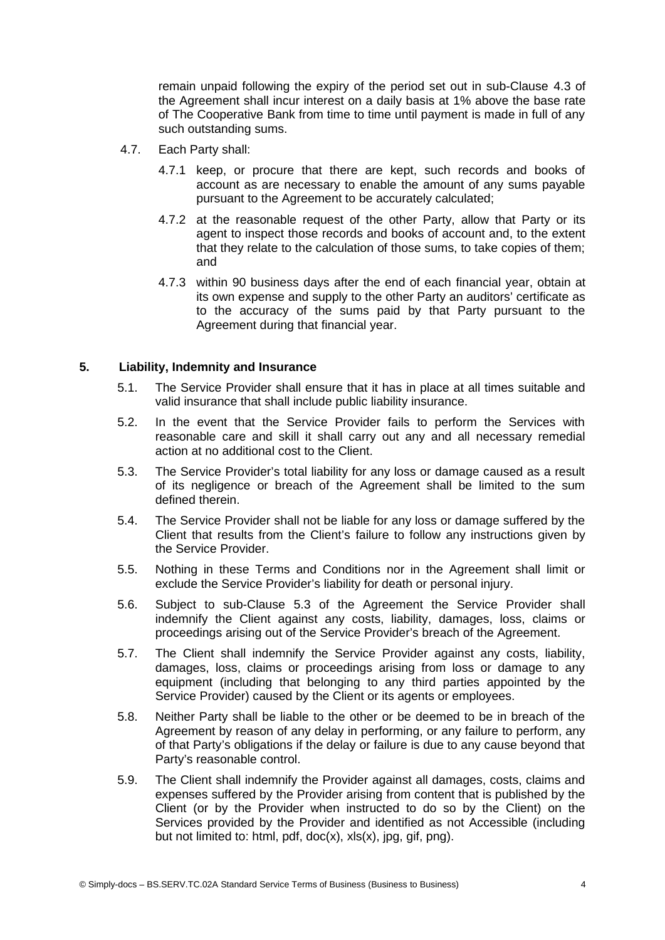remain unpaid following the expiry of the period set out in sub-Clause [4.3](#page-2-1) of the Agreement shall incur interest on a daily basis at 1% above the base rate of The Cooperative Bank from time to time until payment is made in full of any such outstanding sums.

- 4.7. Each Party shall:
	- 4.7.1 keep, or procure that there are kept, such records and books of account as are necessary to enable the amount of any sums payable pursuant to the Agreement to be accurately calculated;
	- 4.7.2 at the reasonable request of the other Party, allow that Party or its agent to inspect those records and books of account and, to the extent that they relate to the calculation of those sums, to take copies of them; and
	- 4.7.3 within 90 business days after the end of each financial year, obtain at its own expense and supply to the other Party an auditors' certificate as to the accuracy of the sums paid by that Party pursuant to the Agreement during that financial year.

## **5. Liability, Indemnity and Insurance**

- 5.1. The Service Provider shall ensure that it has in place at all times suitable and valid insurance that shall include public liability insurance.
- 5.2. In the event that the Service Provider fails to perform the Services with reasonable care and skill it shall carry out any and all necessary remedial action at no additional cost to the Client.
- <span id="page-3-0"></span>5.3. The Service Provider's total liability for any loss or damage caused as a result of its negligence or breach of the Agreement shall be limited to the sum defined therein.
- 5.4. The Service Provider shall not be liable for any loss or damage suffered by the Client that results from the Client's failure to follow any instructions given by the Service Provider.
- 5.5. Nothing in these Terms and Conditions nor in the Agreement shall limit or exclude the Service Provider's liability for death or personal injury.
- 5.6. Subject to sub-Clause [5.3](#page-3-0) of the Agreement the Service Provider shall indemnify the Client against any costs, liability, damages, loss, claims or proceedings arising out of the Service Provider's breach of the Agreement.
- 5.7. The Client shall indemnify the Service Provider against any costs, liability, damages, loss, claims or proceedings arising from loss or damage to any equipment (including that belonging to any third parties appointed by the Service Provider) caused by the Client or its agents or employees.
- 5.8. Neither Party shall be liable to the other or be deemed to be in breach of the Agreement by reason of any delay in performing, or any failure to perform, any of that Party's obligations if the delay or failure is due to any cause beyond that Party's reasonable control.
- 5.9. The Client shall indemnify the Provider against all damages, costs, claims and expenses suffered by the Provider arising from content that is published by the Client (or by the Provider when instructed to do so by the Client) on the Services provided by the Provider and identified as not Accessible (including but not limited to: html, pdf, doc(x), xls(x), jpg, gif, png).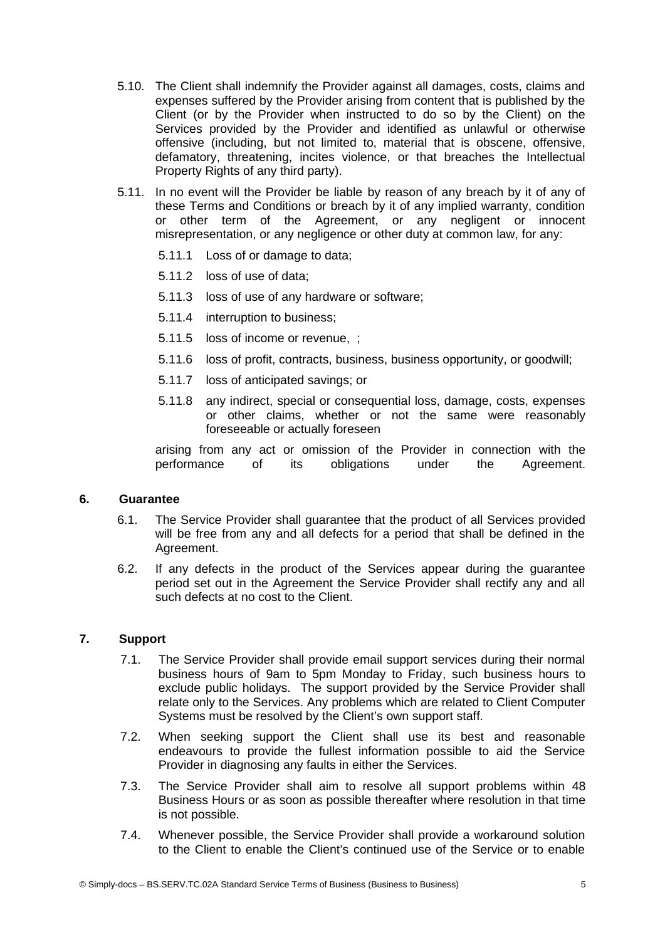- 5.10. The Client shall indemnify the Provider against all damages, costs, claims and expenses suffered by the Provider arising from content that is published by the Client (or by the Provider when instructed to do so by the Client) on the Services provided by the Provider and identified as unlawful or otherwise offensive (including, but not limited to, material that is obscene, offensive, defamatory, threatening, incites violence, or that breaches the Intellectual Property Rights of any third party).
- 5.11. In no event will the Provider be liable by reason of any breach by it of any of these Terms and Conditions or breach by it of any implied warranty, condition or other term of the Agreement, or any negligent or innocent misrepresentation, or any negligence or other duty at common law, for any:
	- 5.11.1 Loss of or damage to data;
	- 5.11.2 loss of use of data;
	- 5.11.3 loss of use of any hardware or software;
	- 5.11.4 interruption to business;
	- 5.11.5 loss of income or revenue, ;
	- 5.11.6 loss of profit, contracts, business, business opportunity, or goodwill;
	- 5.11.7 loss of anticipated savings; or
	- 5.11.8 any indirect, special or consequential loss, damage, costs, expenses or other claims, whether or not the same were reasonably foreseeable or actually foreseen

arising from any act or omission of the Provider in connection with the performance of its obligations under the Agreement.

### **6. Guarantee**

- 6.1. The Service Provider shall guarantee that the product of all Services provided will be free from any and all defects for a period that shall be defined in the Agreement.
- 6.2. If any defects in the product of the Services appear during the guarantee period set out in the Agreement the Service Provider shall rectify any and all such defects at no cost to the Client.

## **7. Support**

- 7.1. The Service Provider shall provide email support services during their normal business hours of 9am to 5pm Monday to Friday, such business hours to exclude public holidays. The support provided by the Service Provider shall relate only to the Services. Any problems which are related to Client Computer Systems must be resolved by the Client's own support staff.
- 7.2. When seeking support the Client shall use its best and reasonable endeavours to provide the fullest information possible to aid the Service Provider in diagnosing any faults in either the Services.
- 7.3. The Service Provider shall aim to resolve all support problems within 48 Business Hours or as soon as possible thereafter where resolution in that time is not possible.
- 7.4. Whenever possible, the Service Provider shall provide a workaround solution to the Client to enable the Client's continued use of the Service or to enable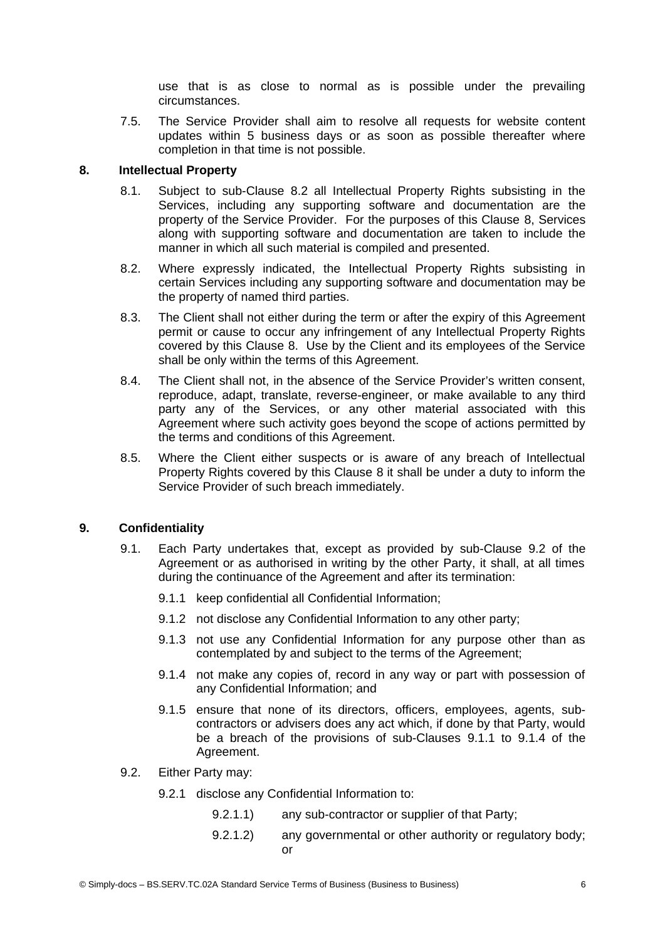use that is as close to normal as is possible under the prevailing circumstances.

7.5. The Service Provider shall aim to resolve all requests for website content updates within 5 business days or as soon as possible thereafter where completion in that time is not possible.

## **8. Intellectual Property**

- <span id="page-5-3"></span>8.1. Subject to sub-Clause [8.2](#page-5-4) all Intellectual Property Rights subsisting in the Services, including any supporting software and documentation are the property of the Service Provider. For the purposes of this Clause [8,](#page-5-3) Services along with supporting software and documentation are taken to include the manner in which all such material is compiled and presented.
- <span id="page-5-4"></span>8.2. Where expressly indicated, the Intellectual Property Rights subsisting in certain Services including any supporting software and documentation may be the property of named third parties.
- 8.3. The Client shall not either during the term or after the expiry of this Agreement permit or cause to occur any infringement of any Intellectual Property Rights covered by this Clause [8](#page-5-3). Use by the Client and its employees of the Service shall be only within the terms of this Agreement.
- 8.4. The Client shall not, in the absence of the Service Provider's written consent, reproduce, adapt, translate, reverse-engineer, or make available to any third party any of the Services, or any other material associated with this Agreement where such activity goes beyond the scope of actions permitted by the terms and conditions of this Agreement.
- 8.5. Where the Client either suspects or is aware of any breach of Intellectual Property Rights covered by this Clause [8](#page-5-3) it shall be under a duty to inform the Service Provider of such breach immediately.

### **9. Confidentiality**

- <span id="page-5-6"></span><span id="page-5-5"></span><span id="page-5-1"></span>9.1. Each Party undertakes that, except as provided by sub-Clause [9.2](#page-5-2) of the Agreement or as authorised in writing by the other Party, it shall, at all times during the continuance of the Agreement and after its termination:
	- 9.1.1 keep confidential all Confidential Information;
	- 9.1.2 not disclose any Confidential Information to any other party;
	- 9.1.3 not use any Confidential Information for any purpose other than as contemplated by and subject to the terms of the Agreement;
	- 9.1.4 not make any copies of, record in any way or part with possession of any Confidential Information; and
	- 9.1.5 ensure that none of its directors, officers, employees, agents, subcontractors or advisers does any act which, if done by that Party, would be a breach of the provisions of sub-Clauses [9.1.1](#page-5-1) to [9.1.4](#page-5-0) of the Agreement.
- <span id="page-5-2"></span><span id="page-5-0"></span>9.2. Either Party may:
	- 9.2.1 disclose any Confidential Information to:
		- 9.2.1.1) any sub-contractor or supplier of that Party;
		- 9.2.1.2) any governmental or other authority or regulatory body; or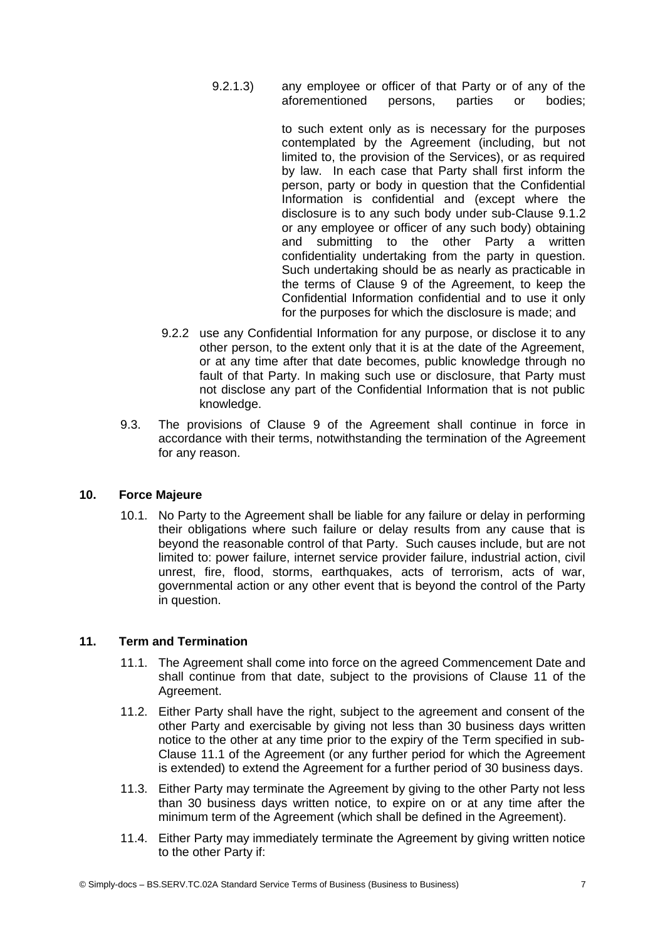9.2.1.3) any employee or officer of that Party or of any of the aforementioned persons, parties or bodies;

> to such extent only as is necessary for the purposes contemplated by the Agreement (including, but not limited to, the provision of the Services), or as required by law. In each case that Party shall first inform the person, party or body in question that the Confidential Information is confidential and (except where the disclosure is to any such body under sub-Clause [9.1.2](#page-5-6) or any employee or officer of any such body) obtaining and submitting to the other Party a written confidentiality undertaking from the party in question. Such undertaking should be as nearly as practicable in the terms of Clause [9](#page-5-5) of the Agreement, to keep the Confidential Information confidential and to use it only for the purposes for which the disclosure is made; and

- 9.2.2 use any Confidential Information for any purpose, or disclose it to any other person, to the extent only that it is at the date of the Agreement, or at any time after that date becomes, public knowledge through no fault of that Party. In making such use or disclosure, that Party must not disclose any part of the Confidential Information that is not public knowledge.
- 9.3. The provisions of Clause [9](#page-5-5) of the Agreement shall continue in force in accordance with their terms, notwithstanding the termination of the Agreement for any reason.

## **10. Force Majeure**

10.1. No Party to the Agreement shall be liable for any failure or delay in performing their obligations where such failure or delay results from any cause that is beyond the reasonable control of that Party. Such causes include, but are not limited to: power failure, internet service provider failure, industrial action, civil unrest, fire, flood, storms, earthquakes, acts of terrorism, acts of war, governmental action or any other event that is beyond the control of the Party in question.

# **11. Term and Termination**

- <span id="page-6-1"></span><span id="page-6-0"></span>11.1. The Agreement shall come into force on the agreed Commencement Date and shall continue from that date, subject to the provisions of Clause [11](#page-6-1) of the Agreement.
- 11.2. Either Party shall have the right, subject to the agreement and consent of the other Party and exercisable by giving not less than 30 business days written notice to the other at any time prior to the expiry of the Term specified in sub-Clause [11.1](#page-6-0) of the Agreement (or any further period for which the Agreement is extended) to extend the Agreement for a further period of 30 business days.
- 11.3. Either Party may terminate the Agreement by giving to the other Party not less than 30 business days written notice, to expire on or at any time after the minimum term of the Agreement (which shall be defined in the Agreement).
- 11.4. Either Party may immediately terminate the Agreement by giving written notice to the other Party if: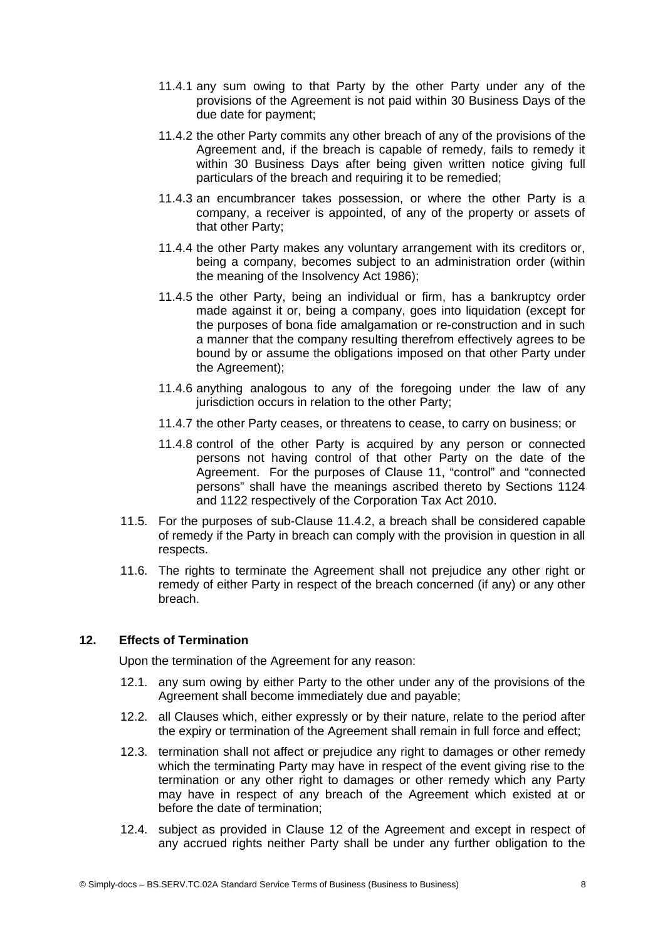- <span id="page-7-0"></span>11.4.1 any sum owing to that Party by the other Party under any of the provisions of the Agreement is not paid within 30 Business Days of the due date for payment;
- <span id="page-7-2"></span>11.4.2 the other Party commits any other breach of any of the provisions of the Agreement and, if the breach is capable of remedy, fails to remedy it within 30 Business Days after being given written notice giving full particulars of the breach and requiring it to be remedied;
- 11.4.3 an encumbrancer takes possession, or where the other Party is a company, a receiver is appointed, of any of the property or assets of that other Party;
- 11.4.4 the other Party makes any voluntary arrangement with its creditors or, being a company, becomes subject to an administration order (within the meaning of the Insolvency Act 1986);
- 11.4.5 the other Party, being an individual or firm, has a bankruptcy order made against it or, being a company, goes into liquidation (except for the purposes of bona fide amalgamation or re-construction and in such a manner that the company resulting therefrom effectively agrees to be bound by or assume the obligations imposed on that other Party under the Agreement);
- 11.4.6 anything analogous to any of the foregoing under the law of any jurisdiction occurs in relation to the other Party;
- 11.4.7 the other Party ceases, or threatens to cease, to carry on business; or
- 11.4.8 control of the other Party is acquired by any person or connected persons not having control of that other Party on the date of the Agreement. For the purposes of Clause [11](#page-6-1), "control" and "connected persons" shall have the meanings ascribed thereto by Sections 1124 and 1122 respectively of the Corporation Tax Act 2010.
- 11.5. For the purposes of sub-Clause [11.4.2,](#page-7-2) a breach shall be considered capable of remedy if the Party in breach can comply with the provision in question in all respects.
- 11.6. The rights to terminate the Agreement shall not prejudice any other right or remedy of either Party in respect of the breach concerned (if any) or any other breach.

## **12. Effects of Termination**

<span id="page-7-1"></span>Upon the termination of the Agreement for any reason:

- 12.1. any sum owing by either Party to the other under any of the provisions of the Agreement shall become immediately due and payable;
- 12.2. all Clauses which, either expressly or by their nature, relate to the period after the expiry or termination of the Agreement shall remain in full force and effect;
- 12.3. termination shall not affect or prejudice any right to damages or other remedy which the terminating Party may have in respect of the event giving rise to the termination or any other right to damages or other remedy which any Party may have in respect of any breach of the Agreement which existed at or before the date of termination;
- 12.4. subject as provided in Clause [12](#page-7-1) of the Agreement and except in respect of any accrued rights neither Party shall be under any further obligation to the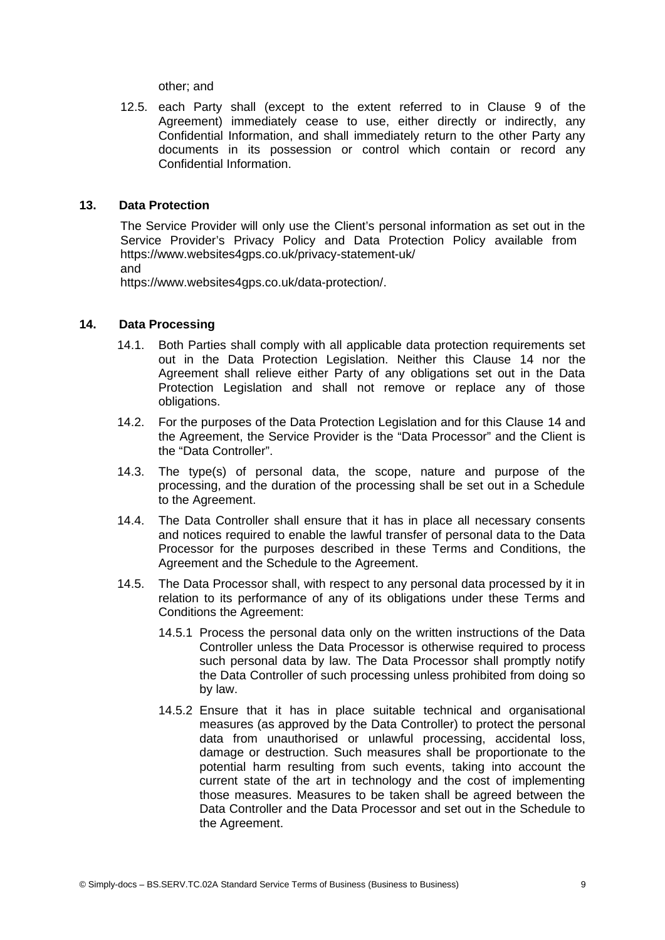other; and

12.5. each Party shall (except to the extent referred to in Clause [9](#page-5-5) of the Agreement) immediately cease to use, either directly or indirectly, any Confidential Information, and shall immediately return to the other Party any documents in its possession or control which contain or record any Confidential Information.

## **13. Data Protection**

The Service Provider will only use the Client's personal information as set out in the Service Provider's Privacy Policy and Data Protection Policy available from https://www.websites4gps.co.uk/privacy-statement-uk/ and

https://www.websites4gps.co.uk/data-protection/.

### **14. Data Processing**

- <span id="page-8-0"></span>14.1. Both Parties shall comply with all applicable data protection requirements set out in the Data Protection Legislation. Neither this Clause [14](#page-8-0) nor the Agreement shall relieve either Party of any obligations set out in the Data Protection Legislation and shall not remove or replace any of those obligations.
- 14.2. For the purposes of the Data Protection Legislation and for this Clause [14](#page-8-0) and the Agreement, the Service Provider is the "Data Processor" and the Client is the "Data Controller".
- 14.3. The type(s) of personal data, the scope, nature and purpose of the processing, and the duration of the processing shall be set out in a Schedule to the Agreement.
- 14.4. The Data Controller shall ensure that it has in place all necessary consents and notices required to enable the lawful transfer of personal data to the Data Processor for the purposes described in these Terms and Conditions, the Agreement and the Schedule to the Agreement.
- 14.5. The Data Processor shall, with respect to any personal data processed by it in relation to its performance of any of its obligations under these Terms and Conditions the Agreement:
	- 14.5.1 Process the personal data only on the written instructions of the Data Controller unless the Data Processor is otherwise required to process such personal data by law. The Data Processor shall promptly notify the Data Controller of such processing unless prohibited from doing so by law.
	- 14.5.2 Ensure that it has in place suitable technical and organisational measures (as approved by the Data Controller) to protect the personal data from unauthorised or unlawful processing, accidental loss, damage or destruction. Such measures shall be proportionate to the potential harm resulting from such events, taking into account the current state of the art in technology and the cost of implementing those measures. Measures to be taken shall be agreed between the Data Controller and the Data Processor and set out in the Schedule to the Agreement.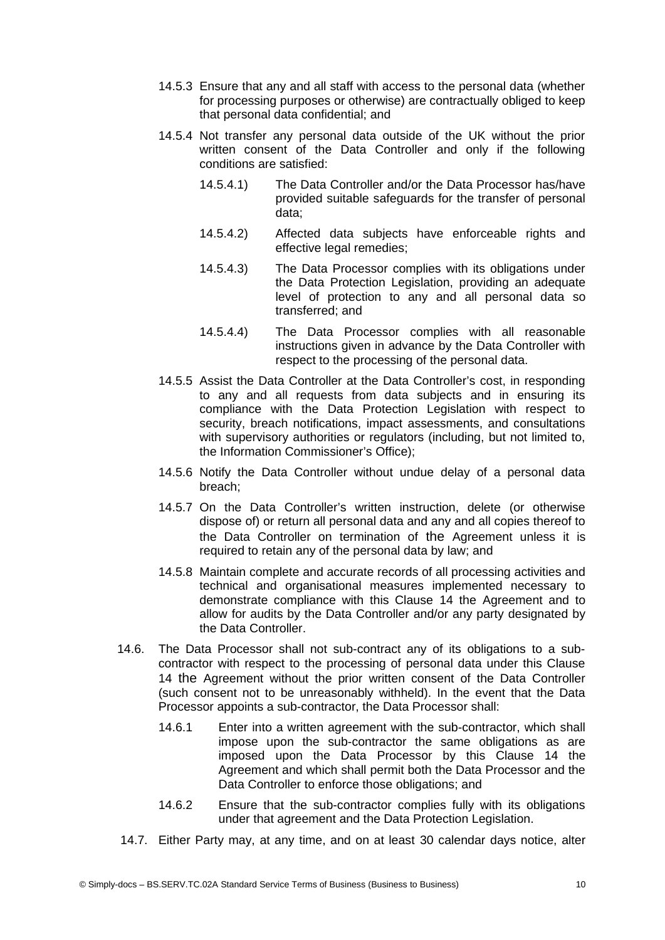- 14.5.3 Ensure that any and all staff with access to the personal data (whether for processing purposes or otherwise) are contractually obliged to keep that personal data confidential; and
- 14.5.4 Not transfer any personal data outside of the UK without the prior written consent of the Data Controller and only if the following conditions are satisfied:
	- 14.5.4.1) The Data Controller and/or the Data Processor has/have provided suitable safeguards for the transfer of personal data;
	- 14.5.4.2) Affected data subjects have enforceable rights and effective legal remedies;
	- 14.5.4.3) The Data Processor complies with its obligations under the Data Protection Legislation, providing an adequate level of protection to any and all personal data so transferred; and
	- 14.5.4.4) The Data Processor complies with all reasonable instructions given in advance by the Data Controller with respect to the processing of the personal data.
- 14.5.5 Assist the Data Controller at the Data Controller's cost, in responding to any and all requests from data subjects and in ensuring its compliance with the Data Protection Legislation with respect to security, breach notifications, impact assessments, and consultations with supervisory authorities or regulators (including, but not limited to, the Information Commissioner's Office);
- 14.5.6 Notify the Data Controller without undue delay of a personal data breach;
- 14.5.7 On the Data Controller's written instruction, delete (or otherwise dispose of) or return all personal data and any and all copies thereof to the Data Controller on termination of the Agreement unless it is required to retain any of the personal data by law; and
- 14.5.8 Maintain complete and accurate records of all processing activities and technical and organisational measures implemented necessary to demonstrate compliance with this Clause [14](#page-8-0) the Agreement and to allow for audits by the Data Controller and/or any party designated by the Data Controller.
- 14.6. The Data Processor shall not sub-contract any of its obligations to a subcontractor with respect to the processing of personal data under this Clause [14](#page-8-0) the Agreement without the prior written consent of the Data Controller (such consent not to be unreasonably withheld). In the event that the Data Processor appoints a sub-contractor, the Data Processor shall:
	- 14.6.1 Enter into a written agreement with the sub-contractor, which shall impose upon the sub-contractor the same obligations as are imposed upon the Data Processor by this Clause [14](#page-8-0) the Agreement and which shall permit both the Data Processor and the Data Controller to enforce those obligations; and
	- 14.6.2 Ensure that the sub-contractor complies fully with its obligations under that agreement and the Data Protection Legislation.
- 14.7. Either Party may, at any time, and on at least 30 calendar days notice, alter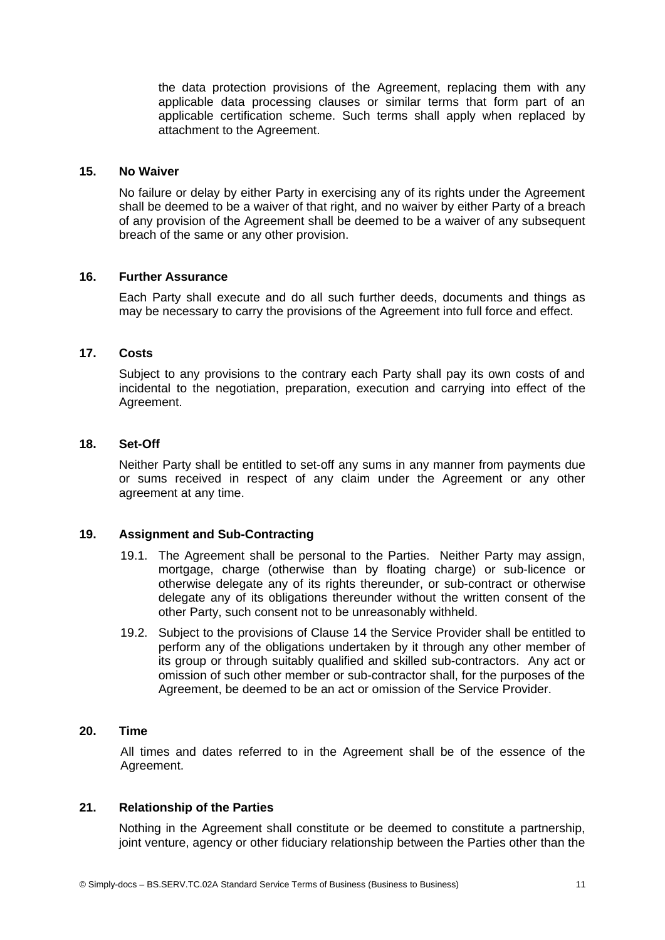the data protection provisions of the Agreement, replacing them with any applicable data processing clauses or similar terms that form part of an applicable certification scheme. Such terms shall apply when replaced by attachment to the Agreement.

#### **15. No Waiver**

No failure or delay by either Party in exercising any of its rights under the Agreement shall be deemed to be a waiver of that right, and no waiver by either Party of a breach of any provision of the Agreement shall be deemed to be a waiver of any subsequent breach of the same or any other provision.

#### **16. Further Assurance**

Each Party shall execute and do all such further deeds, documents and things as may be necessary to carry the provisions of the Agreement into full force and effect.

#### **17. Costs**

Subject to any provisions to the contrary each Party shall pay its own costs of and incidental to the negotiation, preparation, execution and carrying into effect of the Agreement.

#### **18. Set-Off**

Neither Party shall be entitled to set-off any sums in any manner from payments due or sums received in respect of any claim under the Agreement or any other agreement at any time.

## **19. Assignment and Sub-Contracting**

- 19.1. The Agreement shall be personal to the Parties. Neither Party may assign, mortgage, charge (otherwise than by floating charge) or sub-licence or otherwise delegate any of its rights thereunder, or sub-contract or otherwise delegate any of its obligations thereunder without the written consent of the other Party, such consent not to be unreasonably withheld.
- 19.2. Subject to the provisions of Clause [14](#page-8-0) the Service Provider shall be entitled to perform any of the obligations undertaken by it through any other member of its group or through suitably qualified and skilled sub-contractors. Any act or omission of such other member or sub-contractor shall, for the purposes of the Agreement, be deemed to be an act or omission of the Service Provider.

## **20. Time**

All times and dates referred to in the Agreement shall be of the essence of the Agreement.

## **21. Relationship of the Parties**

Nothing in the Agreement shall constitute or be deemed to constitute a partnership, joint venture, agency or other fiduciary relationship between the Parties other than the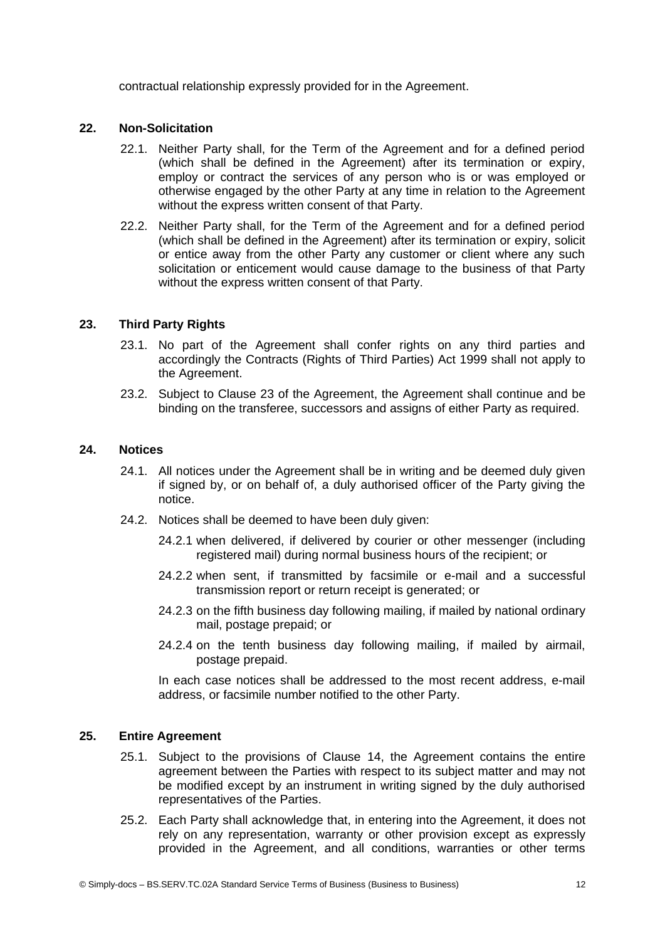contractual relationship expressly provided for in the Agreement.

## **22. Non-Solicitation**

- 22.1. Neither Party shall, for the Term of the Agreement and for a defined period (which shall be defined in the Agreement) after its termination or expiry, employ or contract the services of any person who is or was employed or otherwise engaged by the other Party at any time in relation to the Agreement without the express written consent of that Party.
- 22.2. Neither Party shall, for the Term of the Agreement and for a defined period (which shall be defined in the Agreement) after its termination or expiry, solicit or entice away from the other Party any customer or client where any such solicitation or enticement would cause damage to the business of that Party without the express written consent of that Party.

## **23. Third Party Rights**

- <span id="page-11-0"></span>23.1. No part of the Agreement shall confer rights on any third parties and accordingly the Contracts (Rights of Third Parties) Act 1999 shall not apply to the Agreement.
- 23.2. Subject to Clause [23](#page-11-0) of the Agreement, the Agreement shall continue and be binding on the transferee, successors and assigns of either Party as required.

## **24. Notices**

- 24.1. All notices under the Agreement shall be in writing and be deemed duly given if signed by, or on behalf of, a duly authorised officer of the Party giving the notice.
- 24.2. Notices shall be deemed to have been duly given:
	- 24.2.1 when delivered, if delivered by courier or other messenger (including registered mail) during normal business hours of the recipient; or
	- 24.2.2 when sent, if transmitted by facsimile or e-mail and a successful transmission report or return receipt is generated; or
	- 24.2.3 on the fifth business day following mailing, if mailed by national ordinary mail, postage prepaid; or
	- 24.2.4 on the tenth business day following mailing, if mailed by airmail, postage prepaid.

In each case notices shall be addressed to the most recent address, e-mail address, or facsimile number notified to the other Party.

### **25. Entire Agreement**

- 25.1. Subject to the provisions of Clause [14](#page-8-0), the Agreement contains the entire agreement between the Parties with respect to its subject matter and may not be modified except by an instrument in writing signed by the duly authorised representatives of the Parties.
- 25.2. Each Party shall acknowledge that, in entering into the Agreement, it does not rely on any representation, warranty or other provision except as expressly provided in the Agreement, and all conditions, warranties or other terms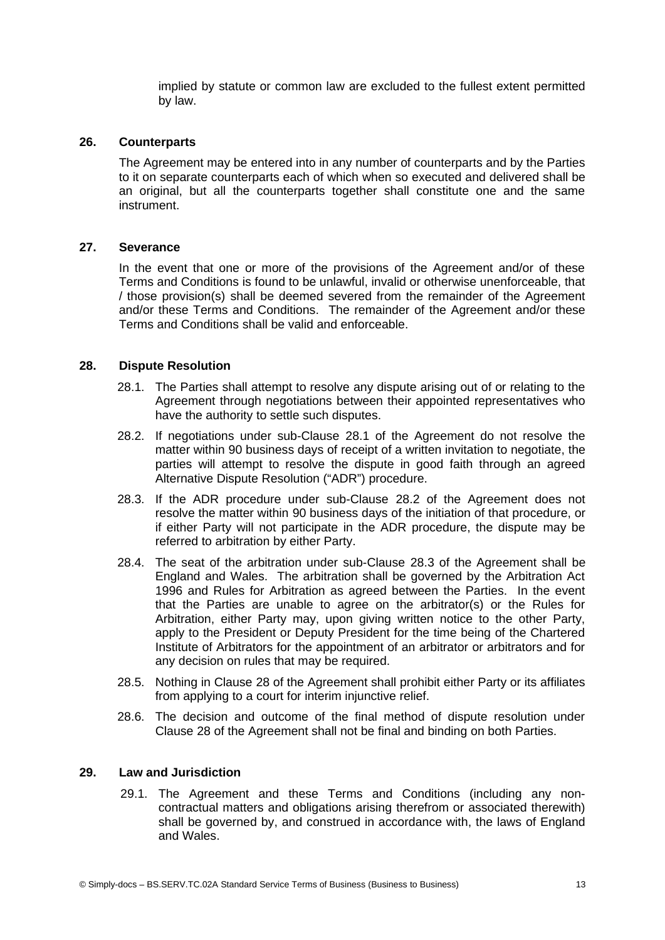implied by statute or common law are excluded to the fullest extent permitted by law.

## **26. Counterparts**

The Agreement may be entered into in any number of counterparts and by the Parties to it on separate counterparts each of which when so executed and delivered shall be an original, but all the counterparts together shall constitute one and the same instrument.

### **27. Severance**

In the event that one or more of the provisions of the Agreement and/or of these Terms and Conditions is found to be unlawful, invalid or otherwise unenforceable, that / those provision(s) shall be deemed severed from the remainder of the Agreement and/or these Terms and Conditions. The remainder of the Agreement and/or these Terms and Conditions shall be valid and enforceable.

## **28. Dispute Resolution**

- <span id="page-12-3"></span><span id="page-12-0"></span>28.1. The Parties shall attempt to resolve any dispute arising out of or relating to the Agreement through negotiations between their appointed representatives who have the authority to settle such disputes.
- <span id="page-12-2"></span>28.2. If negotiations under sub-Clause [28.1](#page-12-3) of the Agreement do not resolve the matter within 90 business days of receipt of a written invitation to negotiate, the parties will attempt to resolve the dispute in good faith through an agreed Alternative Dispute Resolution ("ADR") procedure.
- <span id="page-12-1"></span>28.3. If the ADR procedure under sub-Clause [28.2](#page-12-2) of the Agreement does not resolve the matter within 90 business days of the initiation of that procedure, or if either Party will not participate in the ADR procedure, the dispute may be referred to arbitration by either Party.
- 28.4. The seat of the arbitration under sub-Clause [28.3](#page-12-1) of the Agreement shall be England and Wales. The arbitration shall be governed by the Arbitration Act 1996 and Rules for Arbitration as agreed between the Parties. In the event that the Parties are unable to agree on the arbitrator(s) or the Rules for Arbitration, either Party may, upon giving written notice to the other Party, apply to the President or Deputy President for the time being of the Chartered Institute of Arbitrators for the appointment of an arbitrator or arbitrators and for any decision on rules that may be required.
- 28.5. Nothing in Clause [28](#page-12-0) of the Agreement shall prohibit either Party or its affiliates from applying to a court for interim injunctive relief.
- 28.6. The decision and outcome of the final method of dispute resolution under Clause [28](#page-12-0) of the Agreement shall not be final and binding on both Parties.

### **29. Law and Jurisdiction**

29.1. The Agreement and these Terms and Conditions (including any noncontractual matters and obligations arising therefrom or associated therewith) shall be governed by, and construed in accordance with, the laws of England and Wales.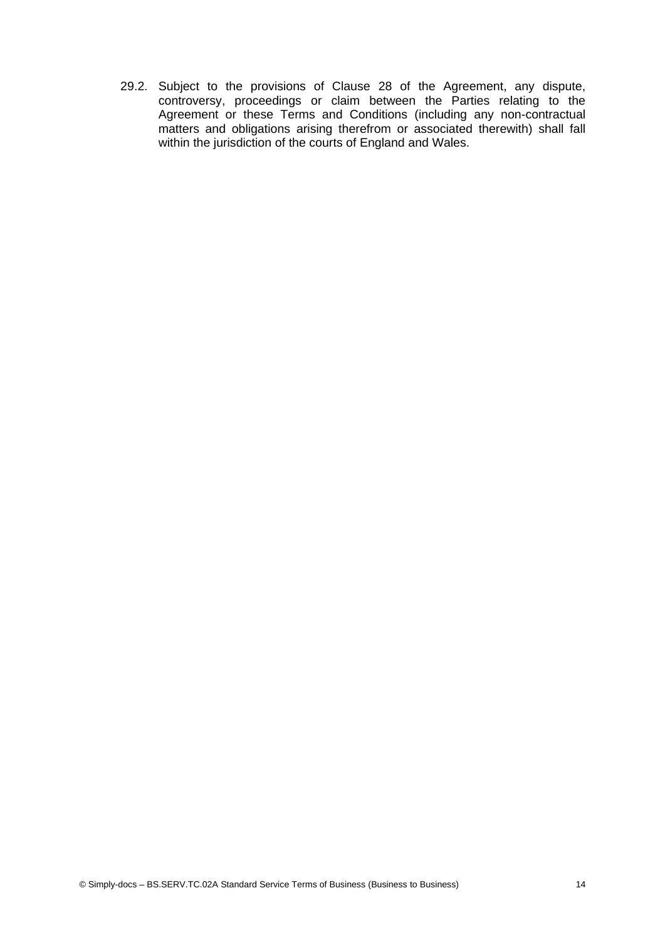29.2. Subject to the provisions of Clause [28](#page-12-0) of the Agreement, any dispute, controversy, proceedings or claim between the Parties relating to the Agreement or these Terms and Conditions (including any non-contractual matters and obligations arising therefrom or associated therewith) shall fall within the jurisdiction of the courts of England and Wales.